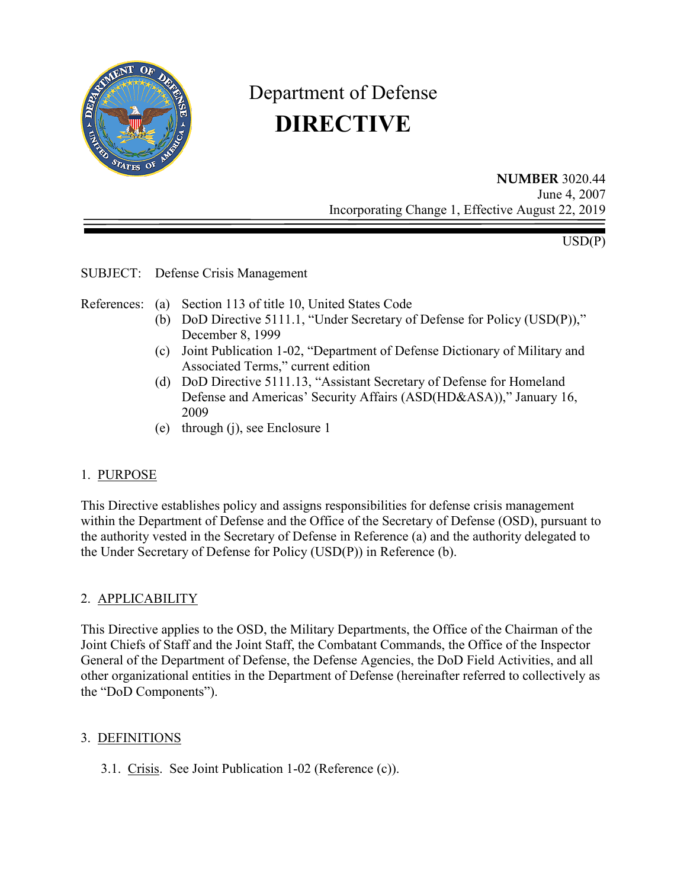

# Department of Defense **DIRECTIVE**

**NUMBER** 3020.44 June 4, 2007 Incorporating Change 1, Effective August 22, 2019

 $USD(P)$ 

SUBJECT: Defense Crisis Management

References: (a) Section 113 of title 10, United States Code

- (b) DoD Directive 5111.1, "Under Secretary of Defense for Policy (USD(P))," December 8, 1999
- (c) Joint Publication 1-02, "Department of Defense Dictionary of Military and Associated Terms," current edition
- (d) DoD Directive 5111.13, "Assistant Secretary of Defense for Homeland Defense and Americas' Security Affairs (ASD(HD&ASA))," January 16, 2009
- (e) through (j), see Enclosure 1

## 1. PURPOSE

This Directive establishes policy and assigns responsibilities for defense crisis management within the Department of Defense and the Office of the Secretary of Defense (OSD), pursuant to the authority vested in the Secretary of Defense in Reference (a) and the authority delegated to the Under Secretary of Defense for Policy (USD(P)) in Reference (b).

## 2. APPLICABILITY

This Directive applies to the OSD, the Military Departments, the Office of the Chairman of the Joint Chiefs of Staff and the Joint Staff, the Combatant Commands, the Office of the Inspector General of the Department of Defense, the Defense Agencies, the DoD Field Activities, and all other organizational entities in the Department of Defense (hereinafter referred to collectively as the "DoD Components").

#### 3. DEFINITIONS

3.1. Crisis. See Joint Publication 1-02 (Reference (c)).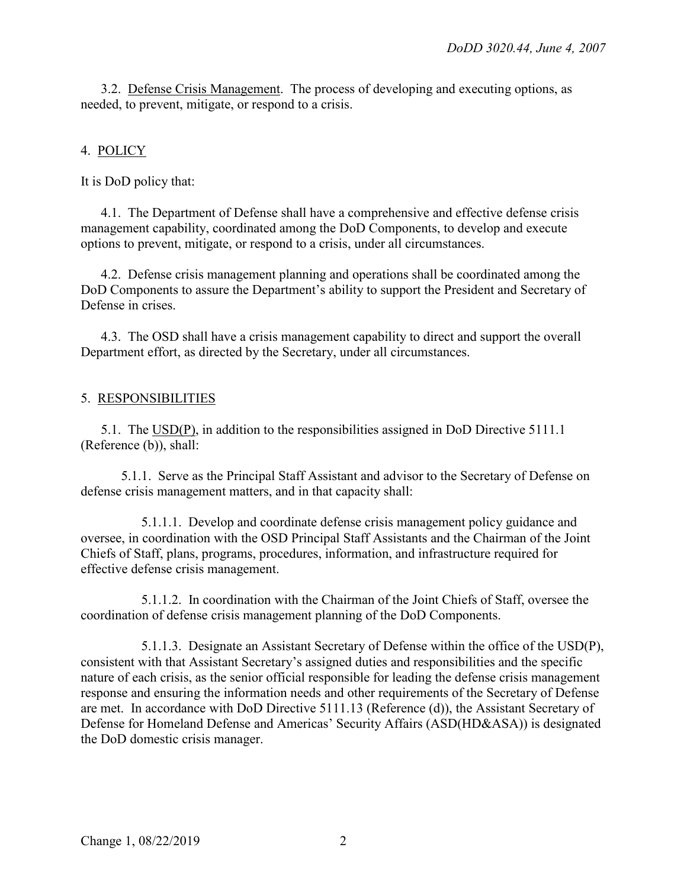3.2. Defense Crisis Management. The process of developing and executing options, as needed, to prevent, mitigate, or respond to a crisis.

# 4. POLICY

It is DoD policy that:

4.1. The Department of Defense shall have a comprehensive and effective defense crisis management capability, coordinated among the DoD Components, to develop and execute options to prevent, mitigate, or respond to a crisis, under all circumstances.

4.2. Defense crisis management planning and operations shall be coordinated among the DoD Components to assure the Department's ability to support the President and Secretary of Defense in crises.

4.3. The OSD shall have a crisis management capability to direct and support the overall Department effort, as directed by the Secretary, under all circumstances.

## 5. RESPONSIBILITIES

5.1. The USD(P), in addition to the responsibilities assigned in DoD Directive 5111.1 (Reference (b)), shall:

5.1.1. Serve as the Principal Staff Assistant and advisor to the Secretary of Defense on defense crisis management matters, and in that capacity shall:

5.1.1.1. Develop and coordinate defense crisis management policy guidance and oversee, in coordination with the OSD Principal Staff Assistants and the Chairman of the Joint Chiefs of Staff, plans, programs, procedures, information, and infrastructure required for effective defense crisis management.

5.1.1.2. In coordination with the Chairman of the Joint Chiefs of Staff, oversee the coordination of defense crisis management planning of the DoD Components.

5.1.1.3. Designate an Assistant Secretary of Defense within the office of the USD(P), consistent with that Assistant Secretary's assigned duties and responsibilities and the specific nature of each crisis, as the senior official responsible for leading the defense crisis management response and ensuring the information needs and other requirements of the Secretary of Defense are met. In accordance with DoD Directive 5111.13 (Reference (d)), the Assistant Secretary of Defense for Homeland Defense and Americas' Security Affairs (ASD(HD&ASA)) is designated the DoD domestic crisis manager.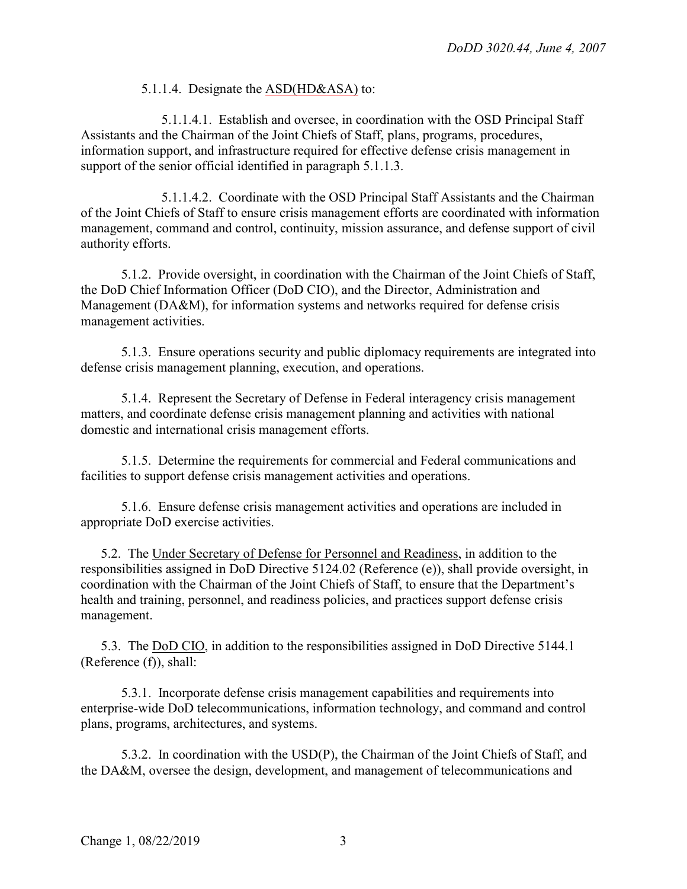#### 5.1.1.4. Designate the **ASD**(HD&ASA) to:

5.1.1.4.1. Establish and oversee, in coordination with the OSD Principal Staff Assistants and the Chairman of the Joint Chiefs of Staff, plans, programs, procedures, information support, and infrastructure required for effective defense crisis management in support of the senior official identified in paragraph 5.1.1.3.

5.1.1.4.2. Coordinate with the OSD Principal Staff Assistants and the Chairman of the Joint Chiefs of Staff to ensure crisis management efforts are coordinated with information management, command and control, continuity, mission assurance, and defense support of civil authority efforts.

5.1.2. Provide oversight, in coordination with the Chairman of the Joint Chiefs of Staff, the DoD Chief Information Officer (DoD CIO), and the Director, Administration and Management (DA&M), for information systems and networks required for defense crisis management activities.

5.1.3. Ensure operations security and public diplomacy requirements are integrated into defense crisis management planning, execution, and operations.

5.1.4. Represent the Secretary of Defense in Federal interagency crisis management matters, and coordinate defense crisis management planning and activities with national domestic and international crisis management efforts.

5.1.5. Determine the requirements for commercial and Federal communications and facilities to support defense crisis management activities and operations.

5.1.6. Ensure defense crisis management activities and operations are included in appropriate DoD exercise activities.

5.2. The Under Secretary of Defense for Personnel and Readiness, in addition to the responsibilities assigned in DoD Directive 5124.02 (Reference (e)), shall provide oversight, in coordination with the Chairman of the Joint Chiefs of Staff, to ensure that the Department's health and training, personnel, and readiness policies, and practices support defense crisis management.

5.3. The DoD CIO, in addition to the responsibilities assigned in DoD Directive 5144.1 (Reference (f)), shall:

5.3.1. Incorporate defense crisis management capabilities and requirements into enterprise-wide DoD telecommunications, information technology, and command and control plans, programs, architectures, and systems.

5.3.2. In coordination with the USD(P), the Chairman of the Joint Chiefs of Staff, and the DA&M, oversee the design, development, and management of telecommunications and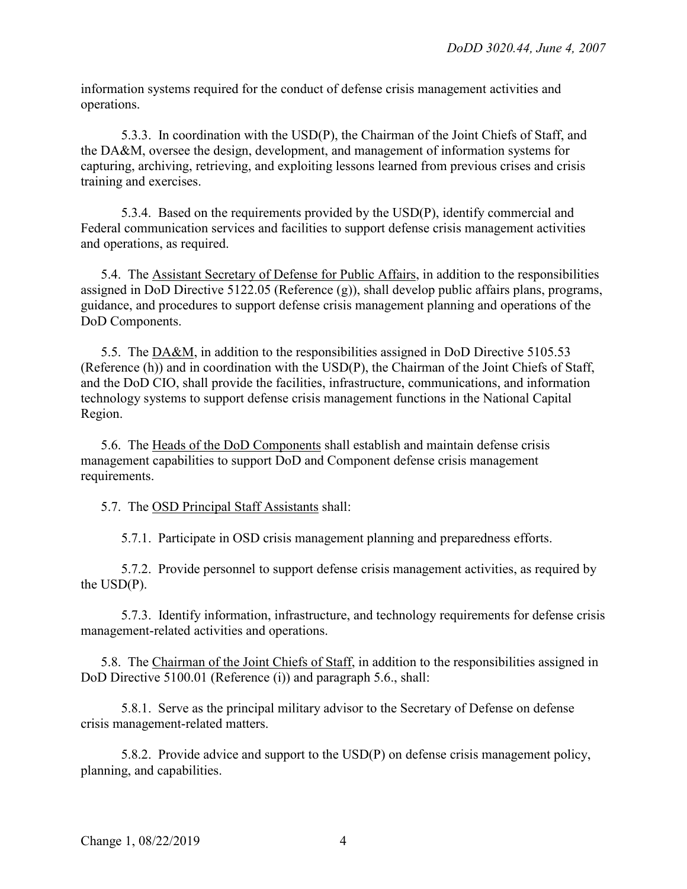information systems required for the conduct of defense crisis management activities and operations.

5.3.3. In coordination with the USD(P), the Chairman of the Joint Chiefs of Staff, and the DA&M, oversee the design, development, and management of information systems for capturing, archiving, retrieving, and exploiting lessons learned from previous crises and crisis training and exercises.

5.3.4. Based on the requirements provided by the USD(P), identify commercial and Federal communication services and facilities to support defense crisis management activities and operations, as required.

5.4. The Assistant Secretary of Defense for Public Affairs, in addition to the responsibilities assigned in DoD Directive 5122.05 (Reference (g)), shall develop public affairs plans, programs, guidance, and procedures to support defense crisis management planning and operations of the DoD Components.

5.5. The DA&M, in addition to the responsibilities assigned in DoD Directive 5105.53 (Reference (h)) and in coordination with the USD(P), the Chairman of the Joint Chiefs of Staff, and the DoD CIO, shall provide the facilities, infrastructure, communications, and information technology systems to support defense crisis management functions in the National Capital Region.

5.6. The Heads of the DoD Components shall establish and maintain defense crisis management capabilities to support DoD and Component defense crisis management requirements.

5.7. The OSD Principal Staff Assistants shall:

5.7.1. Participate in OSD crisis management planning and preparedness efforts.

5.7.2. Provide personnel to support defense crisis management activities, as required by the USD(P).

5.7.3. Identify information, infrastructure, and technology requirements for defense crisis management-related activities and operations.

5.8. The Chairman of the Joint Chiefs of Staff, in addition to the responsibilities assigned in DoD Directive 5100.01 (Reference (i)) and paragraph 5.6., shall:

5.8.1. Serve as the principal military advisor to the Secretary of Defense on defense crisis management-related matters.

5.8.2. Provide advice and support to the USD(P) on defense crisis management policy, planning, and capabilities.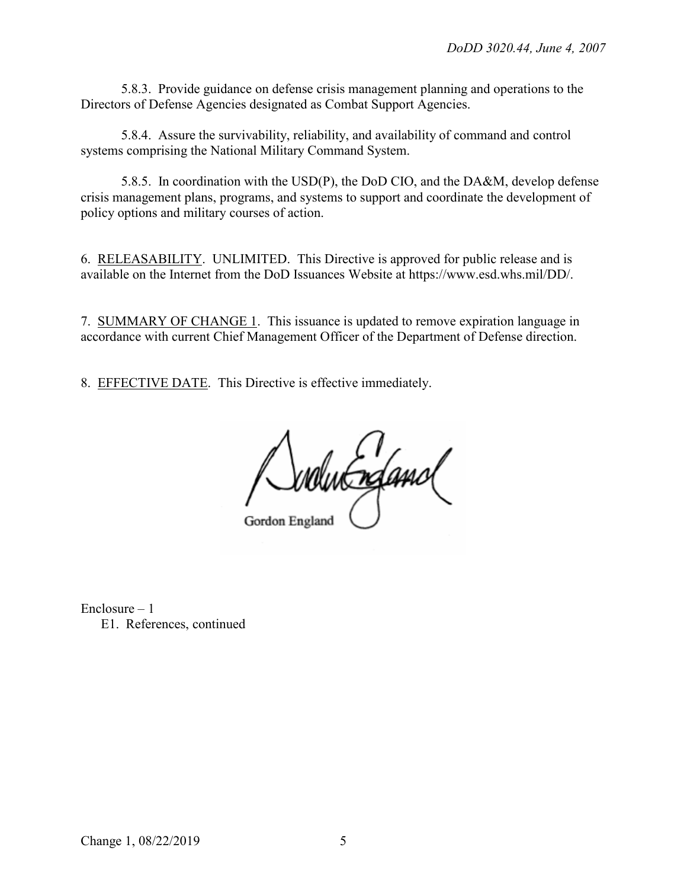5.8.3. Provide guidance on defense crisis management planning and operations to the Directors of Defense Agencies designated as Combat Support Agencies.

5.8.4. Assure the survivability, reliability, and availability of command and control systems comprising the National Military Command System.

5.8.5. In coordination with the USD(P), the DoD CIO, and the DA&M, develop defense crisis management plans, programs, and systems to support and coordinate the development of policy options and military courses of action.

6. RELEASABILITY. UNLIMITED. This Directive is approved for public release and is available on the Internet from the DoD Issuances Website at https://www.esd.whs.mil/DD/.

7. SUMMARY OF CHANGE 1. This issuance is updated to remove expiration language in accordance with current Chief Management Officer of the Department of Defense direction.

8. EFFECTIVE DATE. This Directive is effective immediately.

svolut refamol Gordon England

Enclosure – 1 E1. References, continued